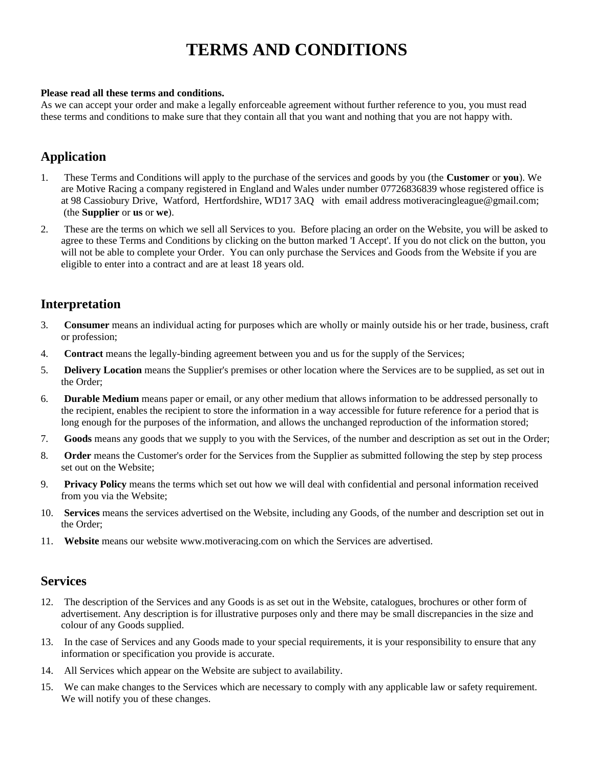# **TERMS AND CONDITIONS**

#### **Please read all these terms and conditions.**

As we can accept your order and make a legally enforceable agreement without further reference to you, you must read these terms and conditions to make sure that they contain all that you want and nothing that you are not happy with.

# **Application**

- 1. These Terms and Conditions will apply to the purchase of the services and goods by you (the **Customer** or **you**). We are Motive Racing a company registered in England and Wales under number 07726836839 whose registered office is at 98 Cassiobury Drive, Watford, Hertfordshire, WD17 3AQ with email address motiveracingleague@gmail.com; (the **Supplier** or **us** or **we**).
- 2. These are the terms on which we sell all Services to you. Before placing an order on the Website, you will be asked to agree to these Terms and Conditions by clicking on the button marked 'I Accept'. If you do not click on the button, you will not be able to complete your Order. You can only purchase the Services and Goods from the Website if you are eligible to enter into a contract and are at least 18 years old.

### **Interpretation**

- 3. **Consumer** means an individual acting for purposes which are wholly or mainly outside his or her trade, business, craft or profession;
- 4. **Contract** means the legally-binding agreement between you and us for the supply of the Services;
- 5. **Delivery Location** means the Supplier's premises or other location where the Services are to be supplied, as set out in the Order;
- 6. **Durable Medium** means paper or email, or any other medium that allows information to be addressed personally to the recipient, enables the recipient to store the information in a way accessible for future reference for a period that is long enough for the purposes of the information, and allows the unchanged reproduction of the information stored;
- 7. **Goods** means any goods that we supply to you with the Services, of the number and description as set out in the Order;
- 8. **Order** means the Customer's order for the Services from the Supplier as submitted following the step by step process set out on the Website;
- 9. **Privacy Policy** means the terms which set out how we will deal with confidential and personal information received from you via the Website;
- 10. **Services** means the services advertised on the Website, including any Goods, of the number and description set out in the Order;
- 11. **Website** means our website www.motiveracing.com on which the Services are advertised.

### **Services**

- 12. The description of the Services and any Goods is as set out in the Website, catalogues, brochures or other form of advertisement. Any description is for illustrative purposes only and there may be small discrepancies in the size and colour of any Goods supplied.
- 13. In the case of Services and any Goods made to your special requirements, it is your responsibility to ensure that any information or specification you provide is accurate.
- 14. All Services which appear on the Website are subject to availability.
- 15. We can make changes to the Services which are necessary to comply with any applicable law or safety requirement. We will notify you of these changes.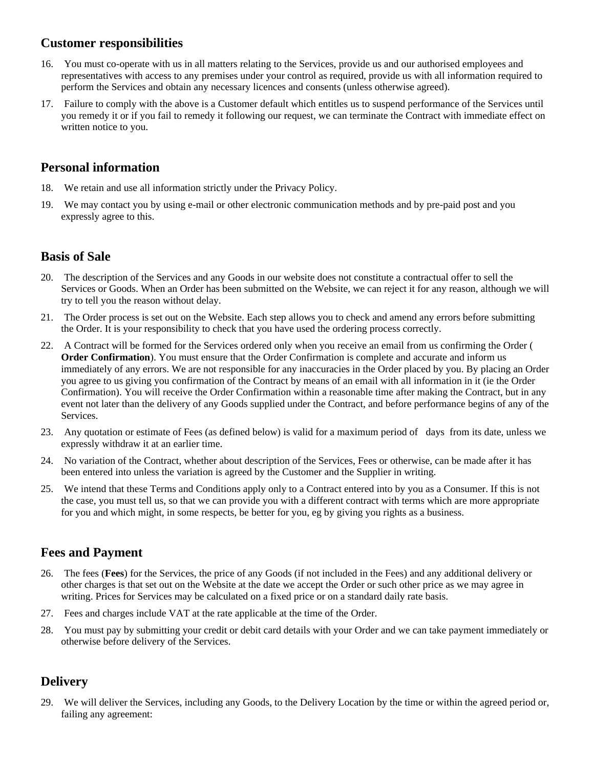### **Customer responsibilities**

- 16. You must co-operate with us in all matters relating to the Services, provide us and our authorised employees and representatives with access to any premises under your control as required, provide us with all information required to perform the Services and obtain any necessary licences and consents (unless otherwise agreed).
- 17. Failure to comply with the above is a Customer default which entitles us to suspend performance of the Services until you remedy it or if you fail to remedy it following our request, we can terminate the Contract with immediate effect on written notice to you.

# **Personal information**

- 18. We retain and use all information strictly under the Privacy Policy.
- 19. We may contact you by using e-mail or other electronic communication methods and by pre-paid post and you expressly agree to this.

# **Basis of Sale**

- 20. The description of the Services and any Goods in our website does not constitute a contractual offer to sell the Services or Goods. When an Order has been submitted on the Website, we can reject it for any reason, although we will try to tell you the reason without delay.
- 21. The Order process is set out on the Website. Each step allows you to check and amend any errors before submitting the Order. It is your responsibility to check that you have used the ordering process correctly.
- 22. A Contract will be formed for the Services ordered only when you receive an email from us confirming the Order ( **Order Confirmation**). You must ensure that the Order Confirmation is complete and accurate and inform us immediately of any errors. We are not responsible for any inaccuracies in the Order placed by you. By placing an Order you agree to us giving you confirmation of the Contract by means of an email with all information in it (ie the Order Confirmation). You will receive the Order Confirmation within a reasonable time after making the Contract, but in any event not later than the delivery of any Goods supplied under the Contract, and before performance begins of any of the Services.
- 23. Any quotation or estimate of Fees (as defined below) is valid for a maximum period of days from its date, unless we expressly withdraw it at an earlier time.
- 24. No variation of the Contract, whether about description of the Services, Fees or otherwise, can be made after it has been entered into unless the variation is agreed by the Customer and the Supplier in writing.
- 25. We intend that these Terms and Conditions apply only to a Contract entered into by you as a Consumer. If this is not the case, you must tell us, so that we can provide you with a different contract with terms which are more appropriate for you and which might, in some respects, be better for you, eg by giving you rights as a business.

# **Fees and Payment**

- 26. The fees (**Fees**) for the Services, the price of any Goods (if not included in the Fees) and any additional delivery or other charges is that set out on the Website at the date we accept the Order or such other price as we may agree in writing. Prices for Services may be calculated on a fixed price or on a standard daily rate basis.
- 27. Fees and charges include VAT at the rate applicable at the time of the Order.
- 28. You must pay by submitting your credit or debit card details with your Order and we can take payment immediately or otherwise before delivery of the Services.

# **Delivery**

29. We will deliver the Services, including any Goods, to the Delivery Location by the time or within the agreed period or, failing any agreement: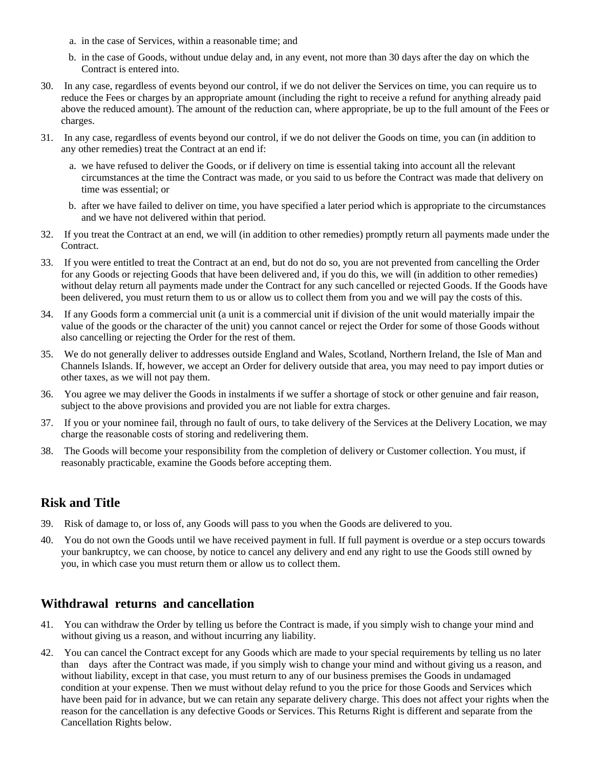- a. in the case of Services, within a reasonable time; and
- b. in the case of Goods, without undue delay and, in any event, not more than 30 days after the day on which the Contract is entered into.
- 30. In any case, regardless of events beyond our control, if we do not deliver the Services on time, you can require us to reduce the Fees or charges by an appropriate amount (including the right to receive a refund for anything already paid above the reduced amount). The amount of the reduction can, where appropriate, be up to the full amount of the Fees or charges.
- 31. In any case, regardless of events beyond our control, if we do not deliver the Goods on time, you can (in addition to any other remedies) treat the Contract at an end if:
	- a. we have refused to deliver the Goods, or if delivery on time is essential taking into account all the relevant circumstances at the time the Contract was made, or you said to us before the Contract was made that delivery on time was essential; or
	- b. after we have failed to deliver on time, you have specified a later period which is appropriate to the circumstances and we have not delivered within that period.
- 32. If you treat the Contract at an end, we will (in addition to other remedies) promptly return all payments made under the Contract.
- 33. If you were entitled to treat the Contract at an end, but do not do so, you are not prevented from cancelling the Order for any Goods or rejecting Goods that have been delivered and, if you do this, we will (in addition to other remedies) without delay return all payments made under the Contract for any such cancelled or rejected Goods. If the Goods have been delivered, you must return them to us or allow us to collect them from you and we will pay the costs of this.
- 34. If any Goods form a commercial unit (a unit is a commercial unit if division of the unit would materially impair the value of the goods or the character of the unit) you cannot cancel or reject the Order for some of those Goods without also cancelling or rejecting the Order for the rest of them.
- 35. We do not generally deliver to addresses outside England and Wales, Scotland, Northern Ireland, the Isle of Man and Channels Islands. If, however, we accept an Order for delivery outside that area, you may need to pay import duties or other taxes, as we will not pay them.
- 36. You agree we may deliver the Goods in instalments if we suffer a shortage of stock or other genuine and fair reason, subject to the above provisions and provided you are not liable for extra charges.
- 37. If you or your nominee fail, through no fault of ours, to take delivery of the Services at the Delivery Location, we may charge the reasonable costs of storing and redelivering them.
- 38. The Goods will become your responsibility from the completion of delivery or Customer collection. You must, if reasonably practicable, examine the Goods before accepting them.

# **Risk and Title**

- 39. Risk of damage to, or loss of, any Goods will pass to you when the Goods are delivered to you.
- 40. You do not own the Goods until we have received payment in full. If full payment is overdue or a step occurs towards your bankruptcy, we can choose, by notice to cancel any delivery and end any right to use the Goods still owned by you, in which case you must return them or allow us to collect them.

# **Withdrawal returns and cancellation**

- 41. You can withdraw the Order by telling us before the Contract is made, if you simply wish to change your mind and without giving us a reason, and without incurring any liability.
- 42. You can cancel the Contract except for any Goods which are made to your special requirements by telling us no later than days after the Contract was made, if you simply wish to change your mind and without giving us a reason, and without liability, except in that case, you must return to any of our business premises the Goods in undamaged condition at your expense. Then we must without delay refund to you the price for those Goods and Services which have been paid for in advance, but we can retain any separate delivery charge. This does not affect your rights when the reason for the cancellation is any defective Goods or Services. This Returns Right is different and separate from the Cancellation Rights below.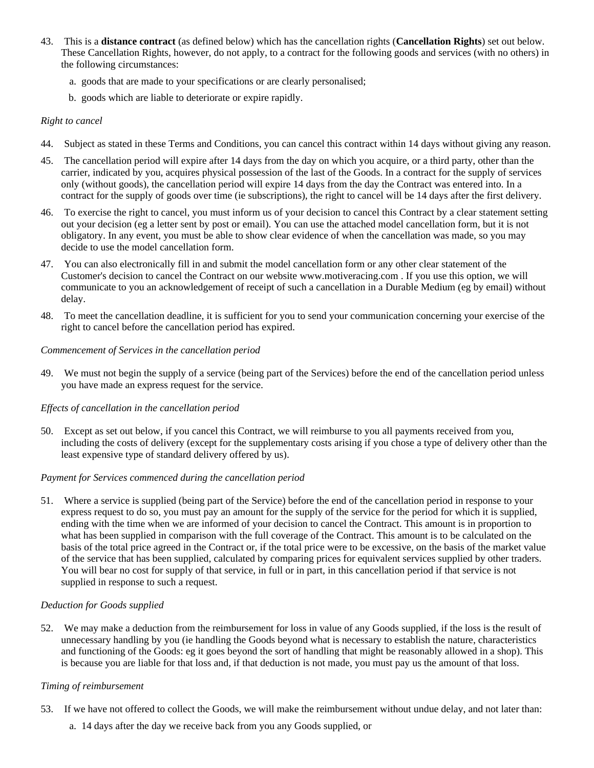- 43. This is a **distance contract** (as defined below) which has the cancellation rights (**Cancellation Rights**) set out below. These Cancellation Rights, however, do not apply, to a contract for the following goods and services (with no others) in the following circumstances:
	- a. goods that are made to your specifications or are clearly personalised;
	- b. goods which are liable to deteriorate or expire rapidly.

#### *Right to cancel*

- 44. Subject as stated in these Terms and Conditions, you can cancel this contract within 14 days without giving any reason.
- 45. The cancellation period will expire after 14 days from the day on which you acquire, or a third party, other than the carrier, indicated by you, acquires physical possession of the last of the Goods. In a contract for the supply of services only (without goods), the cancellation period will expire 14 days from the day the Contract was entered into. In a contract for the supply of goods over time (ie subscriptions), the right to cancel will be 14 days after the first delivery.
- 46. To exercise the right to cancel, you must inform us of your decision to cancel this Contract by a clear statement setting out your decision (eg a letter sent by post or email). You can use the attached model cancellation form, but it is not obligatory. In any event, you must be able to show clear evidence of when the cancellation was made, so you may decide to use the model cancellation form.
- 47. You can also electronically fill in and submit the model cancellation form or any other clear statement of the Customer's decision to cancel the Contract on our website www.motiveracing.com . If you use this option, we will communicate to you an acknowledgement of receipt of such a cancellation in a Durable Medium (eg by email) without delay.
- 48. To meet the cancellation deadline, it is sufficient for you to send your communication concerning your exercise of the right to cancel before the cancellation period has expired.

#### *Commencement of Services in the cancellation period*

49. We must not begin the supply of a service (being part of the Services) before the end of the cancellation period unless you have made an express request for the service.

#### *Effects of cancellation in the cancellation period*

50. Except as set out below, if you cancel this Contract, we will reimburse to you all payments received from you, including the costs of delivery (except for the supplementary costs arising if you chose a type of delivery other than the least expensive type of standard delivery offered by us).

#### *Payment for Services commenced during the cancellation period*

51. Where a service is supplied (being part of the Service) before the end of the cancellation period in response to your express request to do so, you must pay an amount for the supply of the service for the period for which it is supplied, ending with the time when we are informed of your decision to cancel the Contract. This amount is in proportion to what has been supplied in comparison with the full coverage of the Contract. This amount is to be calculated on the basis of the total price agreed in the Contract or, if the total price were to be excessive, on the basis of the market value of the service that has been supplied, calculated by comparing prices for equivalent services supplied by other traders. You will bear no cost for supply of that service, in full or in part, in this cancellation period if that service is not supplied in response to such a request.

#### *Deduction for Goods supplied*

52. We may make a deduction from the reimbursement for loss in value of any Goods supplied, if the loss is the result of unnecessary handling by you (ie handling the Goods beyond what is necessary to establish the nature, characteristics and functioning of the Goods: eg it goes beyond the sort of handling that might be reasonably allowed in a shop). This is because you are liable for that loss and, if that deduction is not made, you must pay us the amount of that loss.

#### *Timing of reimbursement*

- 53. If we have not offered to collect the Goods, we will make the reimbursement without undue delay, and not later than:
	- a. 14 days after the day we receive back from you any Goods supplied, or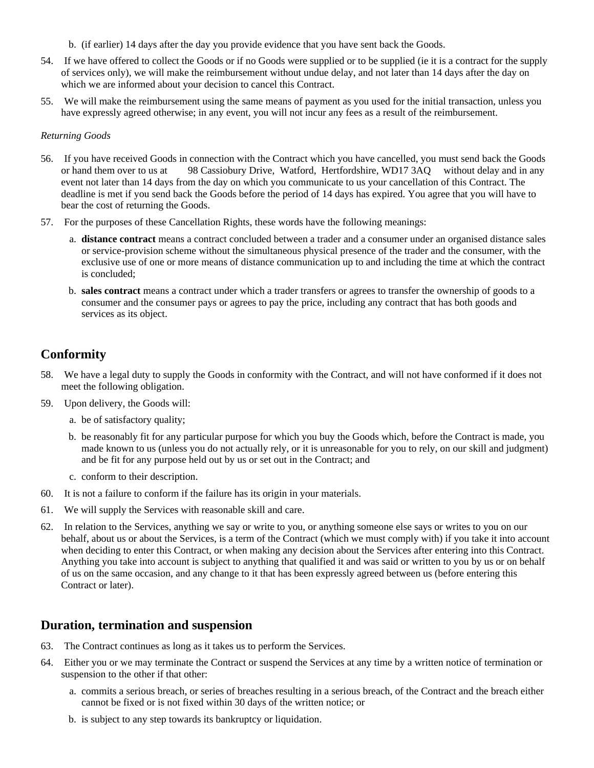- b. (if earlier) 14 days after the day you provide evidence that you have sent back the Goods.
- 54. If we have offered to collect the Goods or if no Goods were supplied or to be supplied (ie it is a contract for the supply of services only), we will make the reimbursement without undue delay, and not later than 14 days after the day on which we are informed about your decision to cancel this Contract.
- 55. We will make the reimbursement using the same means of payment as you used for the initial transaction, unless you have expressly agreed otherwise; in any event, you will not incur any fees as a result of the reimbursement.

#### *Returning Goods*

- 56. If you have received Goods in connection with the Contract which you have cancelled, you must send back the Goods or hand them over to us at 98 Cassiobury Drive, Watford, Hertfordshire, WD17 3AQ without delay and in any event not later than 14 days from the day on which you communicate to us your cancellation of this Contract. The deadline is met if you send back the Goods before the period of 14 days has expired. You agree that you will have to bear the cost of returning the Goods.
- 57. For the purposes of these Cancellation Rights, these words have the following meanings:
	- a. **distance contract** means a contract concluded between a trader and a consumer under an organised distance sales or service-provision scheme without the simultaneous physical presence of the trader and the consumer, with the exclusive use of one or more means of distance communication up to and including the time at which the contract is concluded;
	- b. **sales contract** means a contract under which a trader transfers or agrees to transfer the ownership of goods to a consumer and the consumer pays or agrees to pay the price, including any contract that has both goods and services as its object.

# **Conformity**

- 58. We have a legal duty to supply the Goods in conformity with the Contract, and will not have conformed if it does not meet the following obligation.
- 59. Upon delivery, the Goods will:
	- a. be of satisfactory quality;
	- b. be reasonably fit for any particular purpose for which you buy the Goods which, before the Contract is made, you made known to us (unless you do not actually rely, or it is unreasonable for you to rely, on our skill and judgment) and be fit for any purpose held out by us or set out in the Contract; and
	- c. conform to their description.
- 60. It is not a failure to conform if the failure has its origin in your materials.
- 61. We will supply the Services with reasonable skill and care.
- 62. In relation to the Services, anything we say or write to you, or anything someone else says or writes to you on our behalf, about us or about the Services, is a term of the Contract (which we must comply with) if you take it into account when deciding to enter this Contract, or when making any decision about the Services after entering into this Contract. Anything you take into account is subject to anything that qualified it and was said or written to you by us or on behalf of us on the same occasion, and any change to it that has been expressly agreed between us (before entering this Contract or later).

### **Duration, termination and suspension**

- 63. The Contract continues as long as it takes us to perform the Services.
- 64. Either you or we may terminate the Contract or suspend the Services at any time by a written notice of termination or suspension to the other if that other:
	- a. commits a serious breach, or series of breaches resulting in a serious breach, of the Contract and the breach either cannot be fixed or is not fixed within 30 days of the written notice; or
	- b. is subject to any step towards its bankruptcy or liquidation.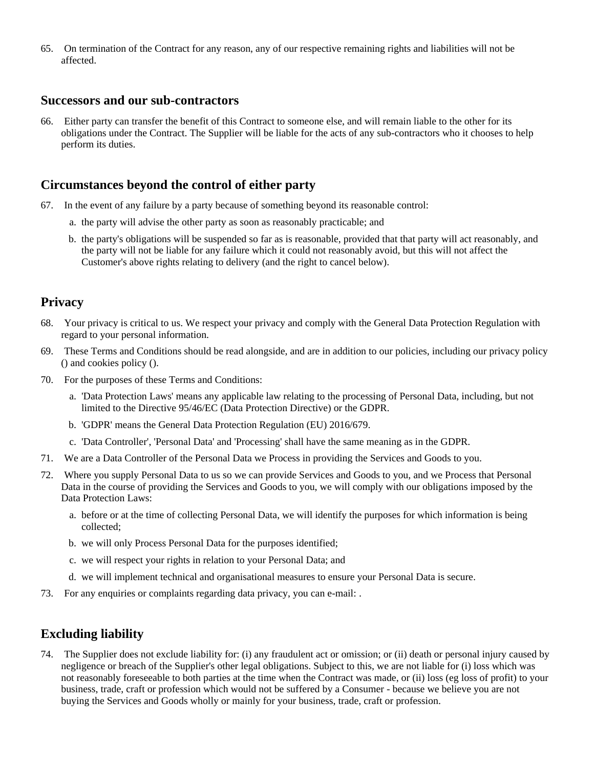65. On termination of the Contract for any reason, any of our respective remaining rights and liabilities will not be affected.

### **Successors and our sub-contractors**

66. Either party can transfer the benefit of this Contract to someone else, and will remain liable to the other for its obligations under the Contract. The Supplier will be liable for the acts of any sub-contractors who it chooses to help perform its duties.

### **Circumstances beyond the control of either party**

- 67. In the event of any failure by a party because of something beyond its reasonable control:
	- a. the party will advise the other party as soon as reasonably practicable; and
	- b. the party's obligations will be suspended so far as is reasonable, provided that that party will act reasonably, and the party will not be liable for any failure which it could not reasonably avoid, but this will not affect the Customer's above rights relating to delivery (and the right to cancel below).

### **Privacy**

- 68. Your privacy is critical to us. We respect your privacy and comply with the General Data Protection Regulation with regard to your personal information.
- 69. These Terms and Conditions should be read alongside, and are in addition to our policies, including our privacy policy () and cookies policy ().
- 70. For the purposes of these Terms and Conditions:
	- a. 'Data Protection Laws' means any applicable law relating to the processing of Personal Data, including, but not limited to the Directive 95/46/EC (Data Protection Directive) or the GDPR.
	- b. 'GDPR' means the General Data Protection Regulation (EU) 2016/679.
	- c. 'Data Controller', 'Personal Data' and 'Processing' shall have the same meaning as in the GDPR.
- 71. We are a Data Controller of the Personal Data we Process in providing the Services and Goods to you.
- 72. Where you supply Personal Data to us so we can provide Services and Goods to you, and we Process that Personal Data in the course of providing the Services and Goods to you, we will comply with our obligations imposed by the Data Protection Laws:
	- a. before or at the time of collecting Personal Data, we will identify the purposes for which information is being collected;
	- b. we will only Process Personal Data for the purposes identified;
	- c. we will respect your rights in relation to your Personal Data; and
	- d. we will implement technical and organisational measures to ensure your Personal Data is secure.
- 73. For any enquiries or complaints regarding data privacy, you can e-mail: .

### **Excluding liability**

74. The Supplier does not exclude liability for: (i) any fraudulent act or omission; or (ii) death or personal injury caused by negligence or breach of the Supplier's other legal obligations. Subject to this, we are not liable for (i) loss which was not reasonably foreseeable to both parties at the time when the Contract was made, or (ii) loss (eg loss of profit) to your business, trade, craft or profession which would not be suffered by a Consumer - because we believe you are not buying the Services and Goods wholly or mainly for your business, trade, craft or profession.